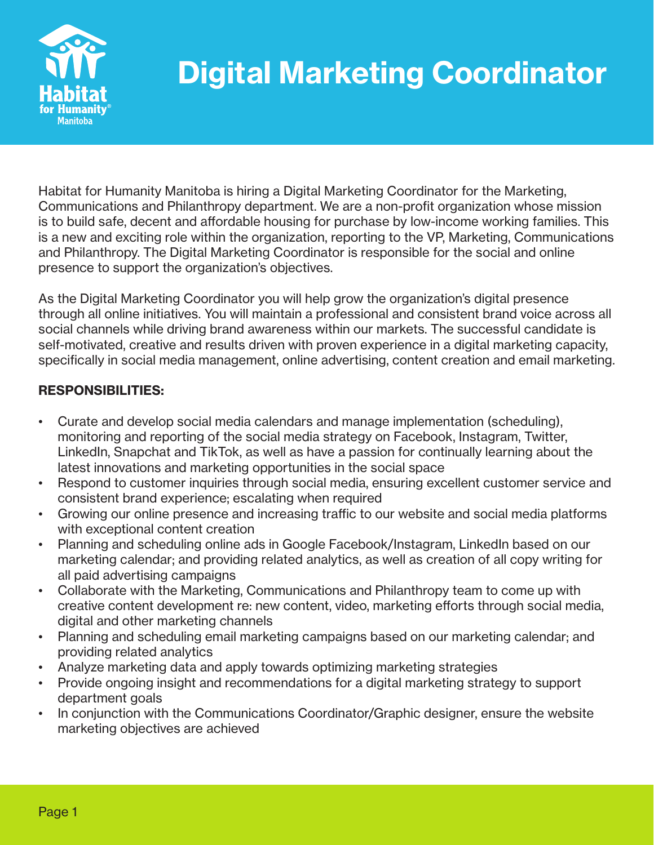

## Digital Marketing Coordinator

Habitat for Humanity Manitoba is hiring a Digital Marketing Coordinator for the Marketing, Communications and Philanthropy department. We are a non-profit organization whose mission is to build safe, decent and affordable housing for purchase by low-income working families. This is a new and exciting role within the organization, reporting to the VP, Marketing, Communications and Philanthropy. The Digital Marketing Coordinator is responsible for the social and online presence to support the organization's objectives.

As the Digital Marketing Coordinator you will help grow the organization's digital presence through all online initiatives. You will maintain a professional and consistent brand voice across all social channels while driving brand awareness within our markets. The successful candidate is self-motivated, creative and results driven with proven experience in a digital marketing capacity, specifically in social media management, online advertising, content creation and email marketing.

## RESPONSIBILITIES:

- Curate and develop social media calendars and manage implementation (scheduling), monitoring and reporting of the social media strategy on Facebook, Instagram, Twitter, LinkedIn, Snapchat and TikTok, as well as have a passion for continually learning about the latest innovations and marketing opportunities in the social space
- Respond to customer inquiries through social media, ensuring excellent customer service and consistent brand experience; escalating when required
- Growing our online presence and increasing traffic to our website and social media platforms with exceptional content creation
- Planning and scheduling online ads in Google Facebook/Instagram, LinkedIn based on our marketing calendar; and providing related analytics, as well as creation of all copy writing for all paid advertising campaigns
- Collaborate with the Marketing, Communications and Philanthropy team to come up with creative content development re: new content, video, marketing efforts through social media, digital and other marketing channels
- Planning and scheduling email marketing campaigns based on our marketing calendar; and providing related analytics
- Analyze marketing data and apply towards optimizing marketing strategies
- Provide ongoing insight and recommendations for a digital marketing strategy to support department goals
- In conjunction with the Communications Coordinator/Graphic designer, ensure the website marketing objectives are achieved